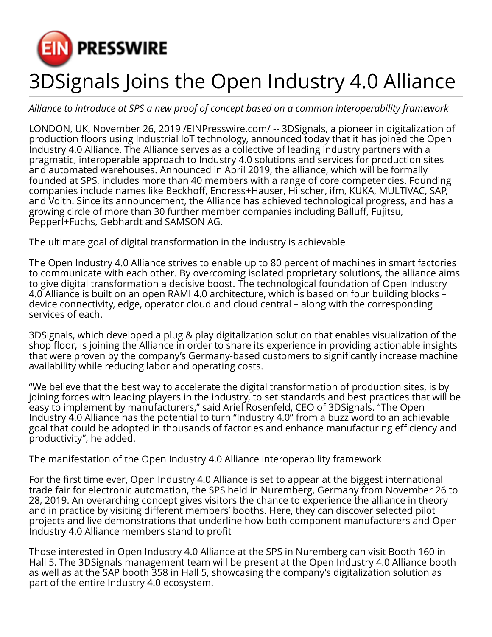

## 3DSignals Joins the Open Industry 4.0 Alliance

*Alliance to introduce at SPS a new proof of concept based on a common interoperability framework*

LONDON, UK, November 26, 2019 [/EINPresswire.com/](http://www.einpresswire.com) -- 3DSignals, a pioneer in digitalization of production floors using Industrial IoT technology, announced today that it has joined the Open Industry 4.0 Alliance. The Alliance serves as a collective of leading industry partners with a pragmatic, interoperable approach to Industry 4.0 solutions and services for production sites and automated warehouses. Announced in April 2019, the alliance, which will be formally founded at SPS, includes more than 40 members with a range of core competencies. Founding companies include names like Beckhoff, Endress+Hauser, Hilscher, ifm, KUKA, MULTIVAC, SAP, and Voith. Since its announcement, the Alliance has achieved technological progress, and has a growing circle of more than 30 further member companies including Balluff, Fujitsu, Pepperl+Fuchs, Gebhardt and SAMSON AG.

The ultimate goal of digital transformation in the industry is achievable

The Open Industry 4.0 Alliance strives to enable up to 80 percent of machines in smart factories to communicate with each other. By overcoming isolated proprietary solutions, the alliance aims to give digital transformation a decisive boost. The technological foundation of Open Industry 4.0 Alliance is built on an open RAMI 4.0 architecture, which is based on four building blocks – device connectivity, edge, operator cloud and cloud central – along with the corresponding services of each.

3DSignals, which developed a plug & play digitalization solution that enables visualization of the shop floor, is joining the Alliance in order to share its experience in providing actionable insights that were proven by the company's Germany-based customers to significantly increase machine availability while reducing labor and operating costs.

"We believe that the best way to accelerate the digital transformation of production sites, is by joining forces with leading players in the industry, to set standards and best practices that will be easy to implement by manufacturers," said Ariel Rosenfeld, CEO of 3DSignals. "The Open Industry 4.0 Alliance has the potential to turn "Industry 4.0" from a buzz word to an achievable goal that could be adopted in thousands of factories and enhance manufacturing efficiency and productivity", he added.

The manifestation of the Open Industry 4.0 Alliance interoperability framework

For the first time ever, Open Industry 4.0 Alliance is set to appear at the biggest international trade fair for electronic automation, the SPS held in Nuremberg, Germany from November 26 to 28, 2019. An overarching concept gives visitors the chance to experience the alliance in theory and in practice by visiting different members' booths. Here, they can discover selected pilot projects and live demonstrations that underline how both component manufacturers and Open Industry 4.0 Alliance members stand to profit

Those interested in Open Industry 4.0 Alliance at the SPS in Nuremberg can visit Booth 160 in Hall 5. The 3DSignals management team will be present at the Open Industry 4.0 Alliance booth as well as at the SAP booth 358 in Hall 5, showcasing the company's digitalization solution as part of the entire Industry 4.0 ecosystem.